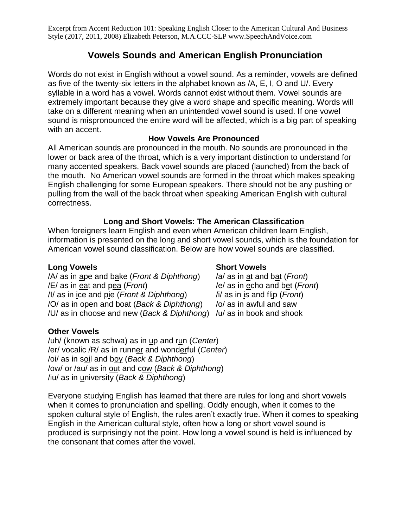Excerpt from Accent Reduction 101: Speaking English Closer to the American Cultural And Business Style (2017, 2011, 2008) Elizabeth Peterson, M.A.CCC-SLP www.SpeechAndVoice.com

# **Vowels Sounds and American English Pronunciation**

Words do not exist in English without a vowel sound. As a reminder, vowels are defined as five of the twenty-six letters in the alphabet known as /A, E, I, O and U/. Every syllable in a word has a vowel. Words cannot exist without them. Vowel sounds are extremely important because they give a word shape and specific meaning. Words will take on a different meaning when an unintended vowel sound is used. If one vowel sound is mispronounced the entire word will be affected, which is a big part of speaking with an accent.

### **How Vowels Are Pronounced**

All American sounds are pronounced in the mouth. No sounds are pronounced in the lower or back area of the throat, which is a very important distinction to understand for many accented speakers. Back vowel sounds are placed (launched) from the back of the mouth. No American vowel sounds are formed in the throat which makes speaking English challenging for some European speakers. There should not be any pushing or pulling from the wall of the back throat when speaking American English with cultural correctness.

## **Long and Short Vowels: The American Classification**

When foreigners learn English and even when American children learn English, information is presented on the long and short vowel sounds, which is the foundation for American vowel sound classification. Below are how vowel sounds are classified.

### **Long Vowels Short Vowels**

/A/ as in ape and bake (*Front & Diphthong*) /a/ as in at and bat (*Front*) /E/ as in eat and pea (*Front*) /e/ as in echo and bet (*Front*) /I/ as in ice and pie (*Front & Diphthong*) /i/ as in is and flip (*Front*) /O/ as in open and boat (Back & Diphthong) /o/ as in awful and saw /U/ as in choose and new (*Back & Diphthong*) /u/ as in book and shook

### **Other Vowels**

/uh/ (known as schwa) as in up and run (*Center*) /er/ vocalic /R/ as in runner and wonderful (*Center*) /oi/ as in soil and boy (*Back & Diphthong*) /ow/ or /au/ as in out and cow (*Back & Diphthong*) /iu/ as in university (*Back & Diphthong*)

### Everyone studying English has learned that there are rules for long and short vowels when it comes to pronunciation and spelling. Oddly enough, when it comes to the spoken cultural style of English, the rules aren't exactly true. When it comes to speaking English in the American cultural style, often how a long or short vowel sound is produced is surprisingly not the point. How long a vowel sound is held is influenced by the consonant that comes after the vowel.